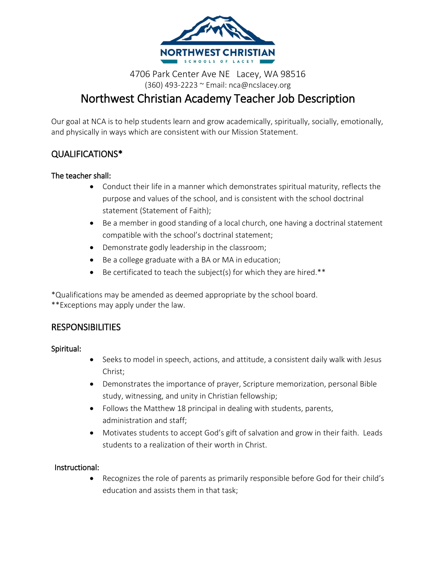

# 4706 Park Center Ave NE Lacey, WA 98516 (360) 493-2223 ~ Email: nca@ncslacey.org Northwest Christian Academy Teacher Job Description

Our goal at NCA is to help students learn and grow academically, spiritually, socially, emotionally, and physically in ways which are consistent with our Mission Statement.

# QUALIFICATIONS\*

#### The teacher shall:

- Conduct their life in a manner which demonstrates spiritual maturity, reflects the purpose and values of the school, and is consistent with the school doctrinal statement (Statement of Faith);
- Be a member in good standing of a local church, one having a doctrinal statement compatible with the school's doctrinal statement;
- Demonstrate godly leadership in the classroom;
- Be a college graduate with a BA or MA in education;
- $\bullet$  Be certificated to teach the subject(s) for which they are hired.\*\*

\*Qualifications may be amended as deemed appropriate by the school board.

\*\*Exceptions may apply under the law.

### **RESPONSIBILITIES**

#### Spiritual:

- Seeks to model in speech, actions, and attitude, a consistent daily walk with Jesus Christ;
- Demonstrates the importance of prayer, Scripture memorization, personal Bible study, witnessing, and unity in Christian fellowship;
- Follows the Matthew 18 principal in dealing with students, parents, administration and staff;
- Motivates students to accept God's gift of salvation and grow in their faith. Leads students to a realization of their worth in Christ.

#### Instructional:

 Recognizes the role of parents as primarily responsible before God for their child's education and assists them in that task;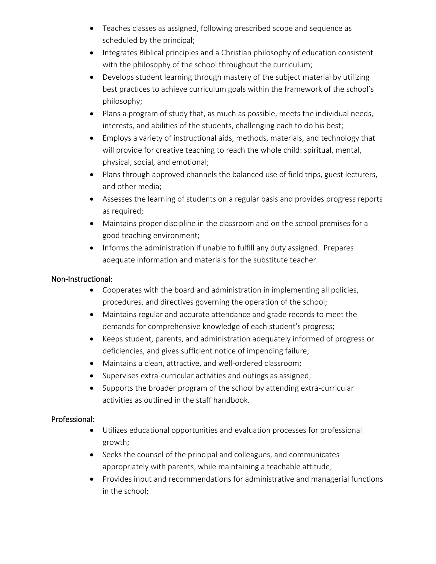- Teaches classes as assigned, following prescribed scope and sequence as scheduled by the principal;
- Integrates Biblical principles and a Christian philosophy of education consistent with the philosophy of the school throughout the curriculum;
- Develops student learning through mastery of the subject material by utilizing best practices to achieve curriculum goals within the framework of the school's philosophy;
- Plans a program of study that, as much as possible, meets the individual needs, interests, and abilities of the students, challenging each to do his best;
- Employs a variety of instructional aids, methods, materials, and technology that will provide for creative teaching to reach the whole child: spiritual, mental, physical, social, and emotional;
- Plans through approved channels the balanced use of field trips, guest lecturers, and other media;
- Assesses the learning of students on a regular basis and provides progress reports as required;
- Maintains proper discipline in the classroom and on the school premises for a good teaching environment;
- Informs the administration if unable to fulfill any duty assigned. Prepares adequate information and materials for the substitute teacher.

#### Non-Instructional:

- Cooperates with the board and administration in implementing all policies, procedures, and directives governing the operation of the school;
- Maintains regular and accurate attendance and grade records to meet the demands for comprehensive knowledge of each student's progress;
- Keeps student, parents, and administration adequately informed of progress or deficiencies, and gives sufficient notice of impending failure;
- Maintains a clean, attractive, and well-ordered classroom;
- Supervises extra-curricular activities and outings as assigned;
- Supports the broader program of the school by attending extra-curricular activities as outlined in the staff handbook.

### Professional:

- Utilizes educational opportunities and evaluation processes for professional growth;
- Seeks the counsel of the principal and colleagues, and communicates appropriately with parents, while maintaining a teachable attitude;
- Provides input and recommendations for administrative and managerial functions in the school;